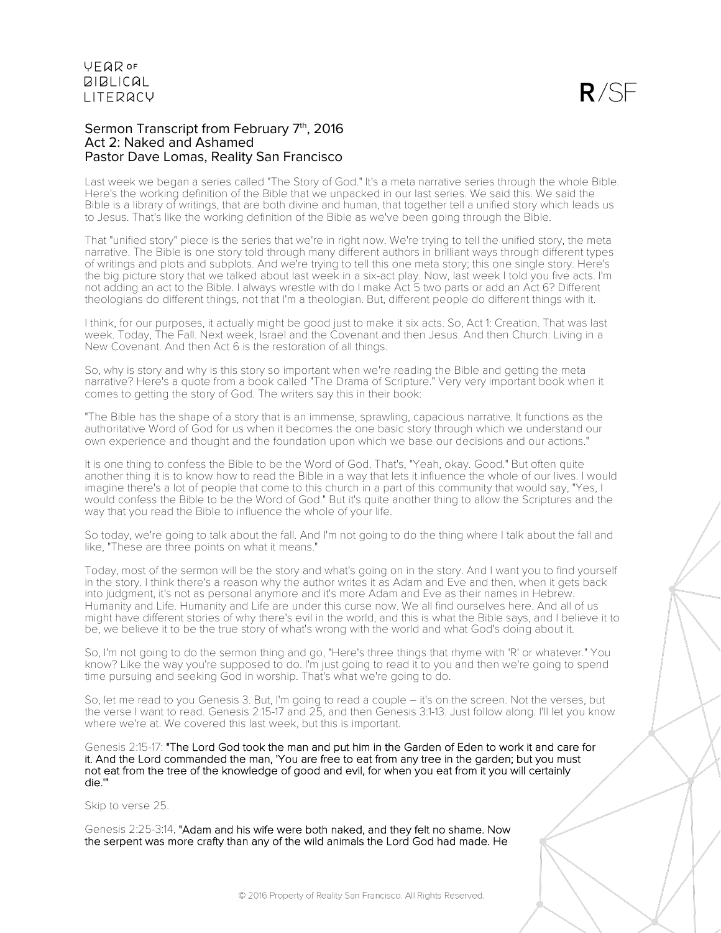### Sermon Transcript from February 7th, 2016 Act 2: Naked and Ashamed Pastor Dave Lomas, Reality San Francisco

Last week we began a series called "The Story of God." It's a meta narrative series through the whole Bible. Here's the working definition of the Bible that we unpacked in our last series. We said this. We said the Bible is a library of writings, that are both divine and human, that together tell a unified story which leads us to Jesus. That's like the working definition of the Bible as we've been going through the Bible.

That "unified story" piece is the series that we're in right now. We're trying to tell the unified story, the meta narrative. The Bible is one story told through many different authors in brilliant ways through different types of writings and plots and subplots. And we're trying to tell this one meta story; this one single story. Here's the big picture story that we talked about last week in a six-act play. Now, last week I told you five acts. I'm not adding an act to the Bible. I always wrestle with do I make Act 5 two parts or add an Act 6? Different theologians do different things, not that I'm a theologian. But, different people do different things with it.

I think, for our purposes, it actually might be good just to make it six acts. So, Act 1: Creation. That was last week. Today, The Fall. Next week, Israel and the Covenant and then Jesus. And then Church: Living in a New Covenant. And then Act 6 is the restoration of all things.

So, why is story and why is this story so important when we're reading the Bible and getting the meta narrative? Here's a quote from a book called "The Drama of Scripture." Very very important book when it comes to getting the story of God. The writers say this in their book:

"The Bible has the shape of a story that is an immense, sprawling, capacious narrative. It functions as the authoritative Word of God for us when it becomes the one basic story through which we understand our own experience and thought and the foundation upon which we base our decisions and our actions."

It is one thing to confess the Bible to be the Word of God. That's, "Yeah, okay. Good." But often quite another thing it is to know how to read the Bible in a way that lets it influence the whole of our lives. I would imagine there's a lot of people that come to this church in a part of this community that would say, "Yes, I would confess the Bible to be the Word of God." But it's quite another thing to allow the Scriptures and the way that you read the Bible to influence the whole of your life.

So today, we're going to talk about the fall. And I'm not going to do the thing where I talk about the fall and like, "These are three points on what it means."

Today, most of the sermon will be the story and what's going on in the story. And I want you to find yourself in the story. I think there's a reason why the author writes it as Adam and Eve and then, when it gets back into judgment, it's not as personal anymore and it's more Adam and Eve as their names in Hebrew. Humanity and Life. Humanity and Life are under this curse now. We all find ourselves here. And all of us might have different stories of why there's evil in the world, and this is what the Bible says, and I believe it to be, we believe it to be the true story of what's wrong with the world and what God's doing about it.

So, I'm not going to do the sermon thing and go, "Here's three things that rhyme with 'R' or whatever." You know? Like the way you're supposed to do. I'm just going to read it to you and then we're going to spend time pursuing and seeking God in worship. That's what we're going to do.

So, let me read to you Genesis 3. But, I'm going to read a couple – it's on the screen. Not the verses, but the verse I want to read. Genesis 2:15-17 and 25, and then Genesis 3:1-13. Just follow along. I'll let you know where we're at. We covered this last week, but this is important.

Genesis 2:15-17: "The Lord God took the man and put him in the Garden of Eden to work it and care for it. And the Lord commanded the man, 'You are free to eat from any tree in the garden; but you must not eat from the tree of the knowledge of good and evil, for when you eat from it you will certainly die.'"

Skip to verse 25.

Genesis 2:25-3:14, "Adam and his wife were both naked, and they felt no shame. Now the serpent was more crafty than any of the wild animals the Lord God had made. He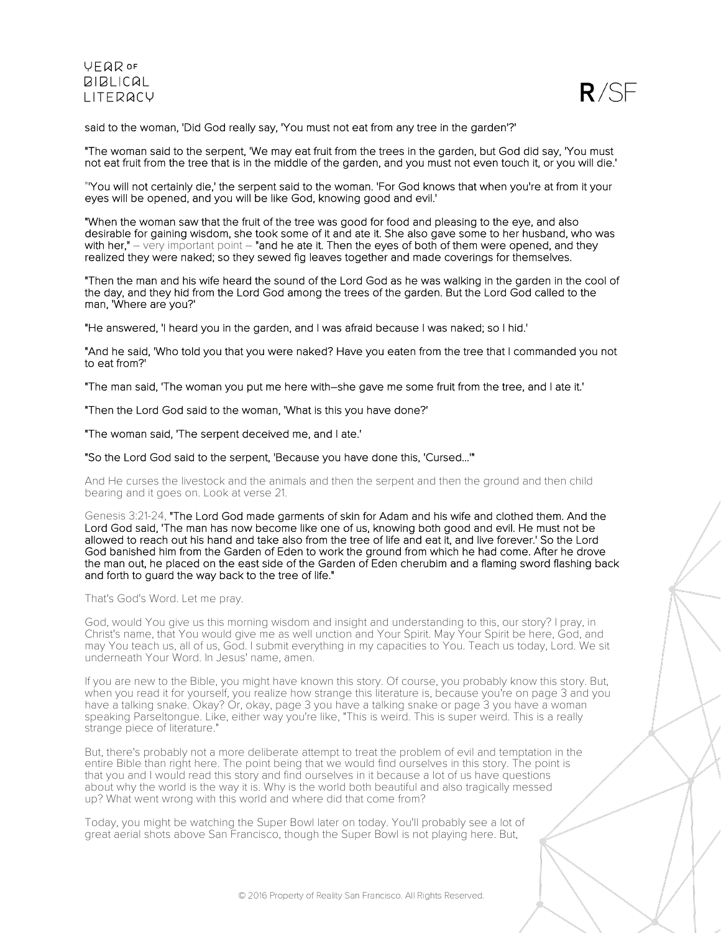

said to the woman, 'Did God really say, 'You must not eat from any tree in the garden'?'

"The woman said to the serpent, 'We may eat fruit from the trees in the garden, but God did say, 'You must not eat fruit from the tree that is in the middle of the garden, and you must not even touch it, or you will die.'

"'You will not certainly die,' the serpent said to the woman. 'For God knows that when you're at from it your eyes will be opened, and you will be like God, knowing good and evil.'

"When the woman saw that the fruit of the tree was good for food and pleasing to the eye, and also desirable for gaining wisdom, she took some of it and ate it. She also gave some to her husband, who was with her,"  $-$  very important point  $-$  "and he ate it. Then the eyes of both of them were opened, and they realized they were naked; so they sewed fig leaves together and made coverings for themselves.

"Then the man and his wife heard the sound of the Lord God as he was walking in the garden in the cool of the day, and they hid from the Lord God among the trees of the garden. But the Lord God called to the man, 'Where are you?'

"He answered, 'I heard you in the garden, and I was afraid because I was naked; so I hid.'

"And he said, 'Who told you that you were naked? Have you eaten from the tree that I commanded you not to eat from?'

"The man said, 'The woman you put me here with–she gave me some fruit from the tree, and I ate it.'

"Then the Lord God said to the woman, 'What is this you have done?'

"The woman said, 'The serpent deceived me, and I ate.'

"So the Lord God said to the serpent, 'Because you have done this, 'Cursed...'"

And He curses the livestock and the animals and then the serpent and then the ground and then child bearing and it goes on. Look at verse 21.

Genesis 3:21-24, "The Lord God made garments of skin for Adam and his wife and clothed them. And the Lord God said, 'The man has now become like one of us, knowing both good and evil. He must not be allowed to reach out his hand and take also from the tree of life and eat it, and live forever.' So the Lord God banished him from the Garden of Eden to work the ground from which he had come. After he drove the man out, he placed on the east side of the Garden of Eden cherubim and a flaming sword flashing back and forth to guard the way back to the tree of life."

That's God's Word. Let me pray.

God, would You give us this morning wisdom and insight and understanding to this, our story? I pray, in Christ's name, that You would give me as well unction and Your Spirit. May Your Spirit be here, God, and may You teach us, all of us, God. I submit everything in my capacities to You. Teach us today, Lord. We sit underneath Your Word. In Jesus' name, amen.

If you are new to the Bible, you might have known this story. Of course, you probably know this story. But, when you read it for yourself, you realize how strange this literature is, because you're on page 3 and you have a talking snake. Okay? Or, okay, page 3 you have a talking snake or page 3 you have a woman speaking Parseltongue. Like, either way you're like, "This is weird. This is super weird. This is a really strange piece of literature."

But, there's probably not a more deliberate attempt to treat the problem of evil and temptation in the entire Bible than right here. The point being that we would find ourselves in this story. The point is that you and I would read this story and find ourselves in it because a lot of us have questions about why the world is the way it is. Why is the world both beautiful and also tragically messed up? What went wrong with this world and where did that come from?

Today, you might be watching the Super Bowl later on today. You'll probably see a lot of great aerial shots above San Francisco, though the Super Bowl is not playing here. But,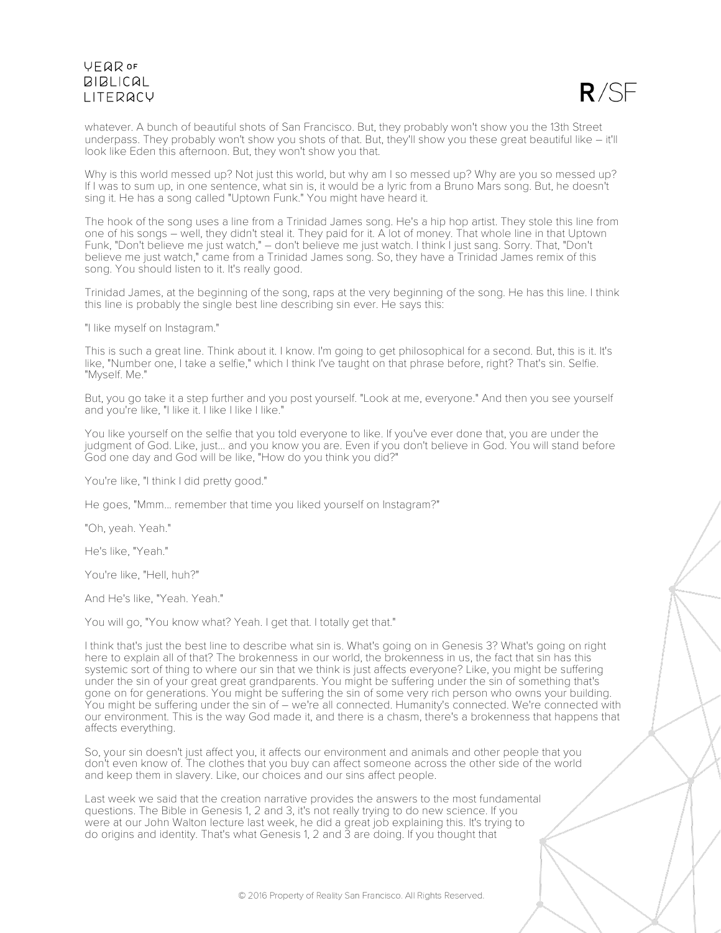$R/SF$ 

whatever. A bunch of beautiful shots of San Francisco. But, they probably won't show you the 13th Street underpass. They probably won't show you shots of that. But, they'll show you these great beautiful like – it'll look like Eden this afternoon. But, they won't show you that.

Why is this world messed up? Not just this world, but why am I so messed up? Why are you so messed up? If I was to sum up, in one sentence, what sin is, it would be a lyric from a Bruno Mars song. But, he doesn't sing it. He has a song called "Uptown Funk." You might have heard it.

The hook of the song uses a line from a Trinidad James song. He's a hip hop artist. They stole this line from one of his songs – well, they didn't steal it. They paid for it. A lot of money. That whole line in that Uptown Funk, "Don't believe me just watch," – don't believe me just watch. I think I just sang. Sorry. That, "Don't believe me just watch," came from a Trinidad James song. So, they have a Trinidad James remix of this song. You should listen to it. It's really good.

Trinidad James, at the beginning of the song, raps at the very beginning of the song. He has this line. I think this line is probably the single best line describing sin ever. He says this:

"I like myself on Instagram."

This is such a great line. Think about it. I know. I'm going to get philosophical for a second. But, this is it. It's like, "Number one, I take a selfie," which I think I've taught on that phrase before, right? That's sin. Selfie. "Myself. Me."

But, you go take it a step further and you post yourself. "Look at me, everyone." And then you see yourself and you're like, "I like it. I like I like I like."

You like yourself on the selfie that you told everyone to like. If you've ever done that, you are under the judgment of God. Like, just... and you know you are. Even if you don't believe in God. You will stand before God one day and God will be like, "How do you think you did?"

You're like, "I think I did pretty good."

He goes, "Mmm... remember that time you liked yourself on Instagram?"

"Oh, yeah. Yeah."

He's like, "Yeah."

You're like, "Hell, huh?"

And He's like, "Yeah. Yeah."

You will go, "You know what? Yeah. I get that. I totally get that."

I think that's just the best line to describe what sin is. What's going on in Genesis 3? What's going on right here to explain all of that? The brokenness in our world, the brokenness in us, the fact that sin has this systemic sort of thing to where our sin that we think is just affects everyone? Like, you might be suffering under the sin of your great great grandparents. You might be suffering under the sin of something that's gone on for generations. You might be suffering the sin of some very rich person who owns your building. You might be suffering under the sin of – we're all connected. Humanity's connected. We're connected with our environment. This is the way God made it, and there is a chasm, there's a brokenness that happens that affects everything.

So, your sin doesn't just affect you, it affects our environment and animals and other people that you don't even know of. The clothes that you buy can affect someone across the other side of the world and keep them in slavery. Like, our choices and our sins affect people.

Last week we said that the creation narrative provides the answers to the most fundamental questions. The Bible in Genesis 1, 2 and 3, it's not really trying to do new science. If you were at our John Walton lecture last week, he did a great job explaining this. It's trying to do origins and identity. That's what Genesis 1, 2 and 3 are doing. If you thought that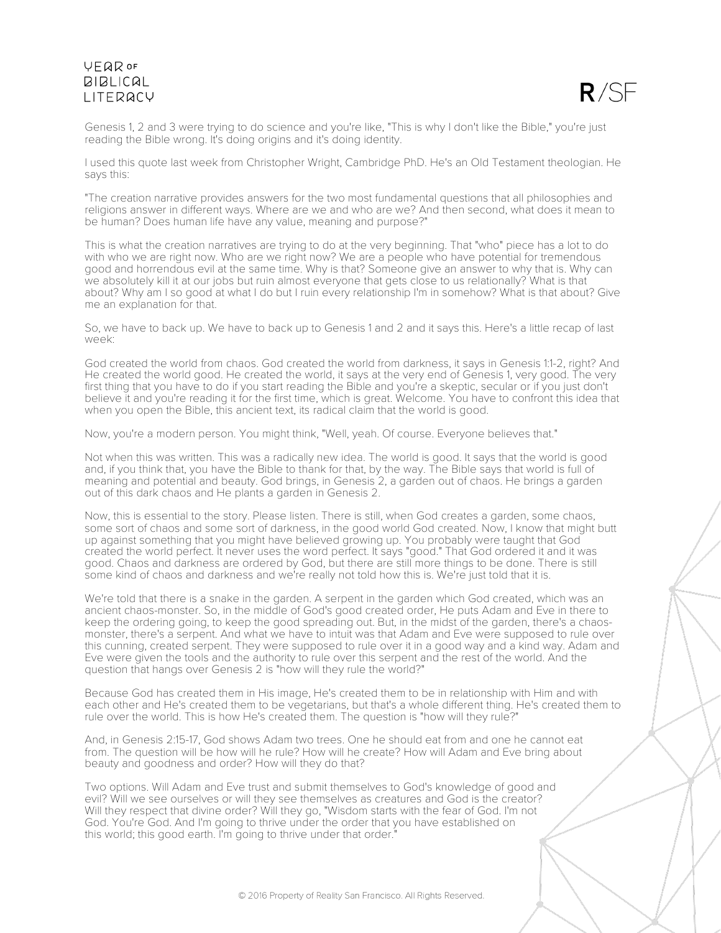

Genesis 1, 2 and 3 were trying to do science and you're like, "This is why I don't like the Bible," you're just reading the Bible wrong. It's doing origins and it's doing identity.

I used this quote last week from Christopher Wright, Cambridge PhD. He's an Old Testament theologian. He says this:

"The creation narrative provides answers for the two most fundamental questions that all philosophies and religions answer in different ways. Where are we and who are we? And then second, what does it mean to be human? Does human life have any value, meaning and purpose?"

This is what the creation narratives are trying to do at the very beginning. That "who" piece has a lot to do with who we are right now. Who are we right now? We are a people who have potential for tremendous good and horrendous evil at the same time. Why is that? Someone give an answer to why that is. Why can we absolutely kill it at our jobs but ruin almost everyone that gets close to us relationally? What is that about? Why am I so good at what I do but I ruin every relationship I'm in somehow? What is that about? Give me an explanation for that.

So, we have to back up. We have to back up to Genesis 1 and 2 and it says this. Here's a little recap of last week:

God created the world from chaos. God created the world from darkness, it says in Genesis 1:1-2, right? And He created the world good. He created the world, it says at the very end of Genesis 1, very good. The very first thing that you have to do if you start reading the Bible and you're a skeptic, secular or if you just don't believe it and you're reading it for the first time, which is great. Welcome. You have to confront this idea that when you open the Bible, this ancient text, its radical claim that the world is good.

Now, you're a modern person. You might think, "Well, yeah. Of course. Everyone believes that."

Not when this was written. This was a radically new idea. The world is good. It says that the world is good and, if you think that, you have the Bible to thank for that, by the way. The Bible says that world is full of meaning and potential and beauty. God brings, in Genesis 2, a garden out of chaos. He brings a garden out of this dark chaos and He plants a garden in Genesis 2.

Now, this is essential to the story. Please listen. There is still, when God creates a garden, some chaos, some sort of chaos and some sort of darkness, in the good world God created. Now, I know that might butt up against something that you might have believed growing up. You probably were taught that God created the world perfect. It never uses the word perfect. It says "good." That God ordered it and it was good. Chaos and darkness are ordered by God, but there are still more things to be done. There is still some kind of chaos and darkness and we're really not told how this is. We're just told that it is.

We're told that there is a snake in the garden. A serpent in the garden which God created, which was an ancient chaos-monster. So, in the middle of God's good created order, He puts Adam and Eve in there to keep the ordering going, to keep the good spreading out. But, in the midst of the garden, there's a chaosmonster, there's a serpent. And what we have to intuit was that Adam and Eve were supposed to rule over this cunning, created serpent. They were supposed to rule over it in a good way and a kind way. Adam and Eve were given the tools and the authority to rule over this serpent and the rest of the world. And the question that hangs over Genesis 2 is "how will they rule the world?"

Because God has created them in His image, He's created them to be in relationship with Him and with each other and He's created them to be vegetarians, but that's a whole different thing. He's created them to rule over the world. This is how He's created them. The question is "how will they rule?"

And, in Genesis 2:15-17, God shows Adam two trees. One he should eat from and one he cannot eat from. The question will be how will he rule? How will he create? How will Adam and Eve bring about beauty and goodness and order? How will they do that?

Two options. Will Adam and Eve trust and submit themselves to God's knowledge of good and evil? Will we see ourselves or will they see themselves as creatures and God is the creator? Will they respect that divine order? Will they go, "Wisdom starts with the fear of God. I'm not God. You're God. And I'm going to thrive under the order that you have established on this world; this good earth. I'm going to thrive under that order."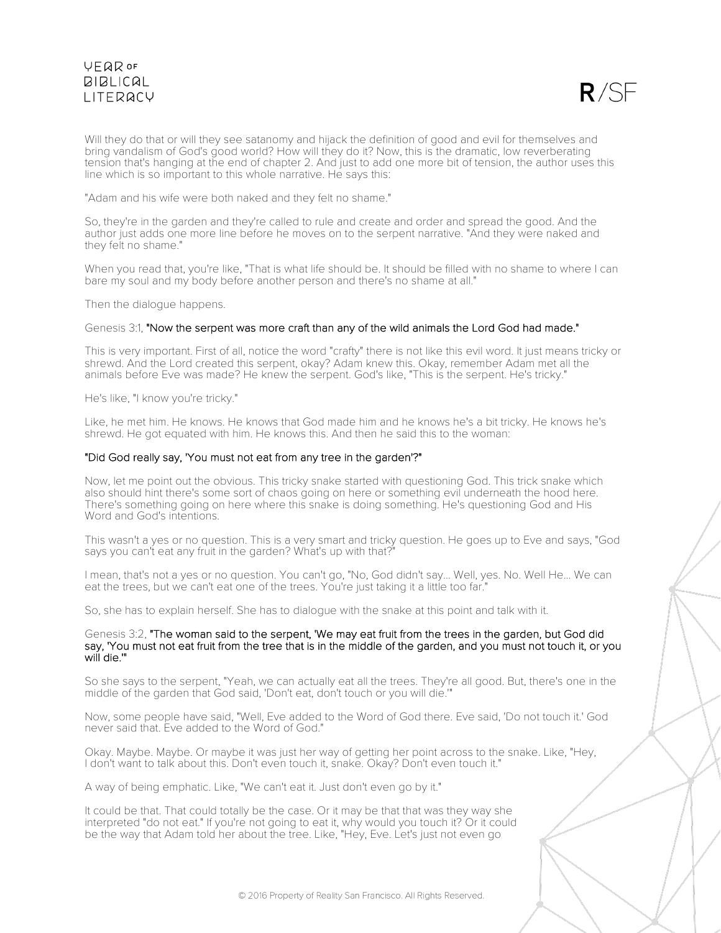

Will they do that or will they see satanomy and hijack the definition of good and evil for themselves and bring vandalism of God's good world? How will they do it? Now, this is the dramatic, low reverberating tension that's hanging at the end of chapter 2. And just to add one more bit of tension, the author uses this line which is so important to this whole narrative. He says this:

"Adam and his wife were both naked and they felt no shame."

So, they're in the garden and they're called to rule and create and order and spread the good. And the author just adds one more line before he moves on to the serpent narrative. "And they were naked and they felt no shame."

When you read that, you're like, "That is what life should be. It should be filled with no shame to where I can bare my soul and my body before another person and there's no shame at all."

Then the dialogue happens.

### Genesis 3:1, "Now the serpent was more craft than any of the wild animals the Lord God had made."

This is very important. First of all, notice the word "crafty" there is not like this evil word. It just means tricky or shrewd. And the Lord created this serpent, okay? Adam knew this. Okay, remember Adam met all the animals before Eve was made? He knew the serpent. God's like, "This is the serpent. He's tricky."

He's like, "I know you're tricky."

Like, he met him. He knows. He knows that God made him and he knows he's a bit tricky. He knows he's shrewd. He got equated with him. He knows this. And then he said this to the woman:

### "Did God really say, 'You must not eat from any tree in the garden'?"

Now, let me point out the obvious. This tricky snake started with questioning God. This trick snake which also should hint there's some sort of chaos going on here or something evil underneath the hood here. There's something going on here where this snake is doing something. He's questioning God and His Word and God's intentions.

This wasn't a yes or no question. This is a very smart and tricky question. He goes up to Eve and says, "God says you can't eat any fruit in the garden? What's up with that?"

I mean, that's not a yes or no question. You can't go, "No, God didn't say... Well, yes. No. Well He... We can eat the trees, but we can't eat one of the trees. You're just taking it a little too far."

So, she has to explain herself. She has to dialogue with the snake at this point and talk with it.

#### Genesis 3:2, "The woman said to the serpent, 'We may eat fruit from the trees in the garden, but God did say, 'You must not eat fruit from the tree that is in the middle of the garden, and you must not touch it, or you will die."

So she says to the serpent, "Yeah, we can actually eat all the trees. They're all good. But, there's one in the middle of the garden that God said, 'Don't eat, don't touch or you will die.'"

Now, some people have said, "Well, Eve added to the Word of God there. Eve said, 'Do not touch it.' God never said that. Eve added to the Word of God."

Okay. Maybe. Maybe. Or maybe it was just her way of getting her point across to the snake. Like, "Hey, I don't want to talk about this. Don't even touch it, snake. Okay? Don't even touch it."

A way of being emphatic. Like, "We can't eat it. Just don't even go by it."

It could be that. That could totally be the case. Or it may be that that was they way she interpreted "do not eat." If you're not going to eat it, why would you touch it? Or it could be the way that Adam told her about the tree. Like, "Hey, Eve. Let's just not even go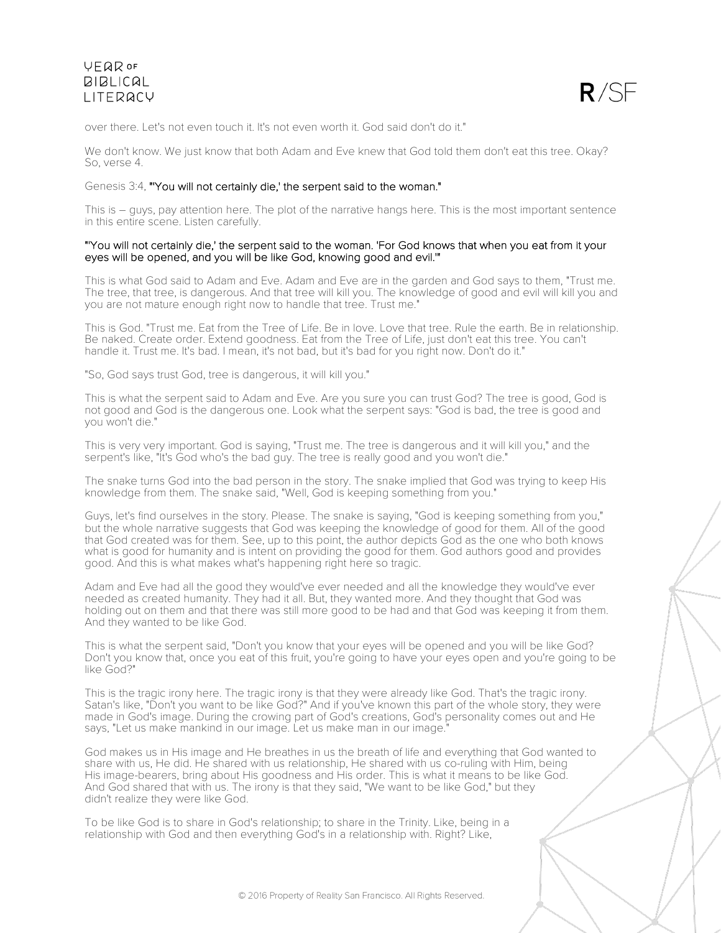

over there. Let's not even touch it. It's not even worth it. God said don't do it."

We don't know. We just know that both Adam and Eve knew that God told them don't eat this tree. Okay? So, verse 4.

#### Genesis 3:4, "'You will not certainly die,' the serpent said to the woman."

This is – guys, pay attention here. The plot of the narrative hangs here. This is the most important sentence in this entire scene. Listen carefully.

### "'You will not certainly die,' the serpent said to the woman. 'For God knows that when you eat from it your eyes will be opened, and you will be like God, knowing good and evil.'"

This is what God said to Adam and Eve. Adam and Eve are in the garden and God says to them, "Trust me. The tree, that tree, is dangerous. And that tree will kill you. The knowledge of good and evil will kill you and you are not mature enough right now to handle that tree. Trust me."

This is God. "Trust me. Eat from the Tree of Life. Be in love. Love that tree. Rule the earth. Be in relationship. Be naked. Create order. Extend goodness. Eat from the Tree of Life, just don't eat this tree. You can't handle it. Trust me. It's bad. I mean, it's not bad, but it's bad for you right now. Don't do it."

"So, God says trust God, tree is dangerous, it will kill you."

This is what the serpent said to Adam and Eve. Are you sure you can trust God? The tree is good, God is not good and God is the dangerous one. Look what the serpent says: "God is bad, the tree is good and you won't die."

This is very very important. God is saying, "Trust me. The tree is dangerous and it will kill you," and the serpent's like, "It's God who's the bad guy. The tree is really good and you won't die."

The snake turns God into the bad person in the story. The snake implied that God was trying to keep His knowledge from them. The snake said, "Well, God is keeping something from you."

Guys, let's find ourselves in the story. Please. The snake is saying, "God is keeping something from you," but the whole narrative suggests that God was keeping the knowledge of good for them. All of the good that God created was for them. See, up to this point, the author depicts God as the one who both knows what is good for humanity and is intent on providing the good for them. God authors good and provides good. And this is what makes what's happening right here so tragic.

Adam and Eve had all the good they would've ever needed and all the knowledge they would've ever needed as created humanity. They had it all. But, they wanted more. And they thought that God was holding out on them and that there was still more good to be had and that God was keeping it from them. And they wanted to be like God.

This is what the serpent said, "Don't you know that your eyes will be opened and you will be like God? Don't you know that, once you eat of this fruit, you're going to have your eyes open and you're going to be like God?"

This is the tragic irony here. The tragic irony is that they were already like God. That's the tragic irony. Satan's like, "Don't you want to be like God?" And if you've known this part of the whole story, they were made in God's image. During the crowing part of God's creations, God's personality comes out and He says, "Let us make mankind in our image. Let us make man in our image."

God makes us in His image and He breathes in us the breath of life and everything that God wanted to share with us, He did. He shared with us relationship, He shared with us co-ruling with Him, being His image-bearers, bring about His goodness and His order. This is what it means to be like God. And God shared that with us. The irony is that they said, "We want to be like God," but they didn't realize they were like God.

To be like God is to share in God's relationship; to share in the Trinity. Like, being in a relationship with God and then everything God's in a relationship with. Right? Like,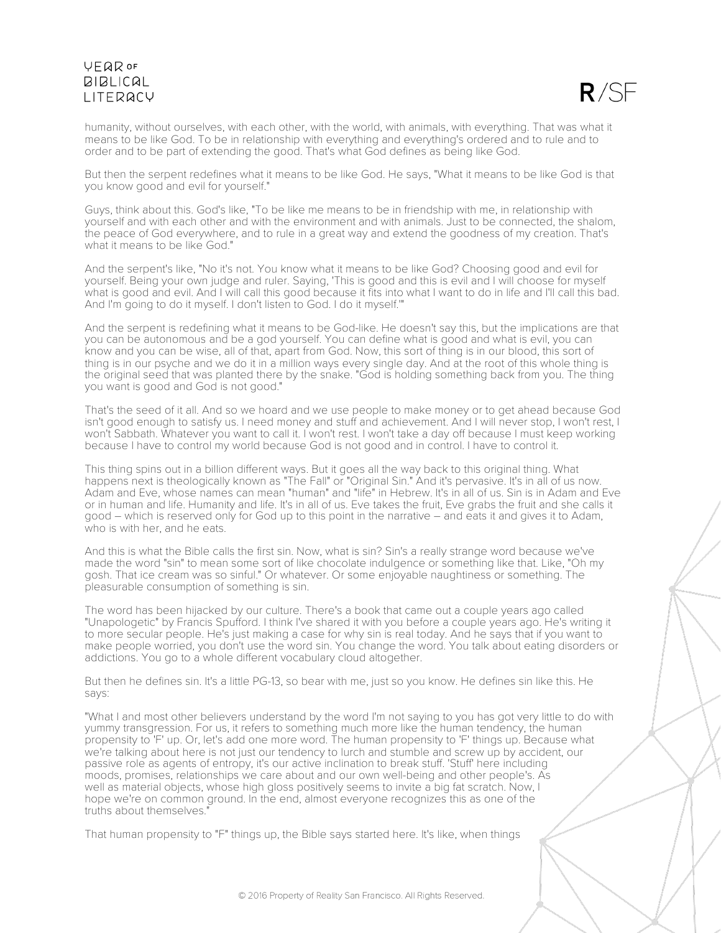

humanity, without ourselves, with each other, with the world, with animals, with everything. That was what it means to be like God. To be in relationship with everything and everything's ordered and to rule and to order and to be part of extending the good. That's what God defines as being like God.

But then the serpent redefines what it means to be like God. He says, "What it means to be like God is that you know good and evil for yourself."

Guys, think about this. God's like, "To be like me means to be in friendship with me, in relationship with yourself and with each other and with the environment and with animals. Just to be connected, the shalom, the peace of God everywhere, and to rule in a great way and extend the goodness of my creation. That's what it means to be like God."

And the serpent's like, "No it's not. You know what it means to be like God? Choosing good and evil for yourself. Being your own judge and ruler. Saying, 'This is good and this is evil and I will choose for myself what is good and evil. And I will call this good because it fits into what I want to do in life and I'll call this bad. And I'm going to do it myself. I don't listen to God. I do it myself.'"

And the serpent is redefining what it means to be God-like. He doesn't say this, but the implications are that you can be autonomous and be a god yourself. You can define what is good and what is evil, you can know and you can be wise, all of that, apart from God. Now, this sort of thing is in our blood, this sort of thing is in our psyche and we do it in a million ways every single day. And at the root of this whole thing is the original seed that was planted there by the snake. "God is holding something back from you. The thing you want is good and God is not good."

That's the seed of it all. And so we hoard and we use people to make money or to get ahead because God isn't good enough to satisfy us. I need money and stuff and achievement. And I will never stop, I won't rest, I won't Sabbath. Whatever you want to call it. I won't rest. I won't take a day off because I must keep working because I have to control my world because God is not good and in control. I have to control it.

This thing spins out in a billion different ways. But it goes all the way back to this original thing. What happens next is theologically known as "The Fall" or "Original Sin." And it's pervasive. It's in all of us now. Adam and Eve, whose names can mean "human" and "life" in Hebrew. It's in all of us. Sin is in Adam and Eve or in human and life. Humanity and life. It's in all of us. Eve takes the fruit, Eve grabs the fruit and she calls it good – which is reserved only for God up to this point in the narrative – and eats it and gives it to Adam, who is with her, and he eats.

And this is what the Bible calls the first sin. Now, what is sin? Sin's a really strange word because we've made the word "sin" to mean some sort of like chocolate indulgence or something like that. Like, "Oh my gosh. That ice cream was so sinful." Or whatever. Or some enjoyable naughtiness or something. The pleasurable consumption of something is sin.

The word has been hijacked by our culture. There's a book that came out a couple years ago called "Unapologetic" by Francis Spufford. I think I've shared it with you before a couple years ago. He's writing it to more secular people. He's just making a case for why sin is real today. And he says that if you want to make people worried, you don't use the word sin. You change the word. You talk about eating disorders or addictions. You go to a whole different vocabulary cloud altogether.

But then he defines sin. It's a little PG-13, so bear with me, just so you know. He defines sin like this. He says:

"What I and most other believers understand by the word I'm not saying to you has got very little to do with yummy transgression. For us, it refers to something much more like the human tendency, the human propensity to 'F' up. Or, let's add one more word. The human propensity to 'F' things up. Because what we're talking about here is not just our tendency to lurch and stumble and screw up by accident, our passive role as agents of entropy, it's our active inclination to break stuff. 'Stuff' here including moods, promises, relationships we care about and our own well-being and other people's. As well as material objects, whose high gloss positively seems to invite a big fat scratch. Now, I hope we're on common ground. In the end, almost everyone recognizes this as one of the truths about themselves."

That human propensity to "F" things up, the Bible says started here. It's like, when things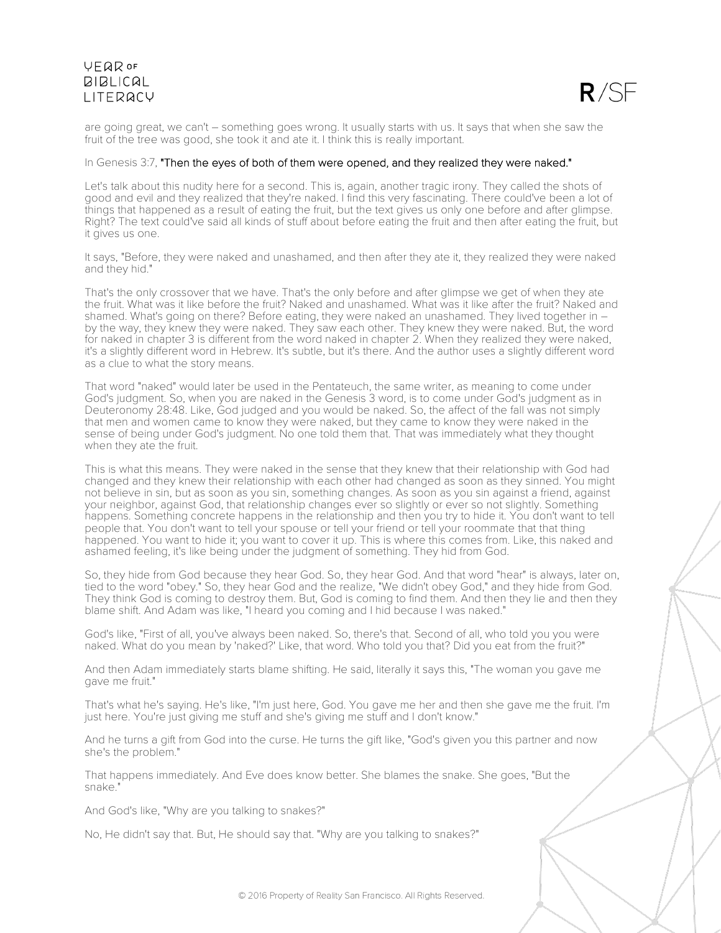

are going great, we can't – something goes wrong. It usually starts with us. It says that when she saw the fruit of the tree was good, she took it and ate it. I think this is really important.

### In Genesis 3:7, "Then the eyes of both of them were opened, and they realized they were naked."

Let's talk about this nudity here for a second. This is, again, another tragic irony. They called the shots of good and evil and they realized that they're naked. I find this very fascinating. There could've been a lot of things that happened as a result of eating the fruit, but the text gives us only one before and after glimpse. Right? The text could've said all kinds of stuff about before eating the fruit and then after eating the fruit, but it gives us one.

It says, "Before, they were naked and unashamed, and then after they ate it, they realized they were naked and they hid."

That's the only crossover that we have. That's the only before and after glimpse we get of when they ate the fruit. What was it like before the fruit? Naked and unashamed. What was it like after the fruit? Naked and shamed. What's going on there? Before eating, they were naked an unashamed. They lived together in by the way, they knew they were naked. They saw each other. They knew they were naked. But, the word for naked in chapter 3 is different from the word naked in chapter 2. When they realized they were naked, it's a slightly different word in Hebrew. It's subtle, but it's there. And the author uses a slightly different word as a clue to what the story means.

That word "naked" would later be used in the Pentateuch, the same writer, as meaning to come under God's judgment. So, when you are naked in the Genesis 3 word, is to come under God's judgment as in Deuteronomy 28:48. Like, God judged and you would be naked. So, the affect of the fall was not simply that men and women came to know they were naked, but they came to know they were naked in the sense of being under God's judgment. No one told them that. That was immediately what they thought when they ate the fruit.

This is what this means. They were naked in the sense that they knew that their relationship with God had changed and they knew their relationship with each other had changed as soon as they sinned. You might not believe in sin, but as soon as you sin, something changes. As soon as you sin against a friend, against your neighbor, against God, that relationship changes ever so slightly or ever so not slightly. Something happens. Something concrete happens in the relationship and then you try to hide it. You don't want to tell people that. You don't want to tell your spouse or tell your friend or tell your roommate that that thing happened. You want to hide it; you want to cover it up. This is where this comes from. Like, this naked and ashamed feeling, it's like being under the judgment of something. They hid from God.

So, they hide from God because they hear God. So, they hear God. And that word "hear" is always, later on, tied to the word "obey." So, they hear God and the realize, "We didn't obey God," and they hide from God. They think God is coming to destroy them. But, God is coming to find them. And then they lie and then they blame shift. And Adam was like, "I heard you coming and I hid because I was naked."

God's like, "First of all, you've always been naked. So, there's that. Second of all, who told you you were naked. What do you mean by 'naked?' Like, that word. Who told you that? Did you eat from the fruit?"

And then Adam immediately starts blame shifting. He said, literally it says this, "The woman you gave me gave me fruit."

That's what he's saying. He's like, "I'm just here, God. You gave me her and then she gave me the fruit. I'm just here. You're just giving me stuff and she's giving me stuff and I don't know."

And he turns a gift from God into the curse. He turns the gift like, "God's given you this partner and now she's the problem."

That happens immediately. And Eve does know better. She blames the snake. She goes, "But the snake."

And God's like, "Why are you talking to snakes?"

No, He didn't say that. But, He should say that. "Why are you talking to snakes?"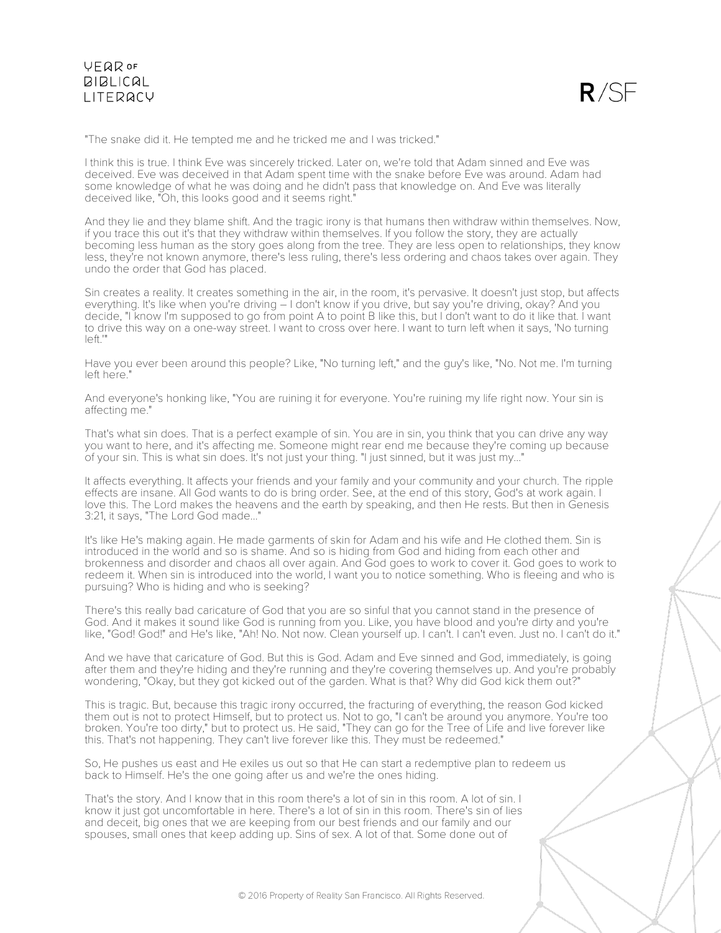

"The snake did it. He tempted me and he tricked me and I was tricked."

I think this is true. I think Eve was sincerely tricked. Later on, we're told that Adam sinned and Eve was deceived. Eve was deceived in that Adam spent time with the snake before Eve was around. Adam had some knowledge of what he was doing and he didn't pass that knowledge on. And Eve was literally deceived like, "Oh, this looks good and it seems right."

And they lie and they blame shift. And the tragic irony is that humans then withdraw within themselves. Now, if you trace this out it's that they withdraw within themselves. If you follow the story, they are actually becoming less human as the story goes along from the tree. They are less open to relationships, they know less, they're not known anymore, there's less ruling, there's less ordering and chaos takes over again. They undo the order that God has placed.

Sin creates a reality. It creates something in the air, in the room, it's pervasive. It doesn't just stop, but affects everything. It's like when you're driving – I don't know if you drive, but say you're driving, okay? And you decide, "I know I'm supposed to go from point A to point B like this, but I don't want to do it like that. I want to drive this way on a one-way street. I want to cross over here. I want to turn left when it says, 'No turning left.'"

Have you ever been around this people? Like, "No turning left," and the guy's like, "No. Not me. I'm turning left here."

And everyone's honking like, "You are ruining it for everyone. You're ruining my life right now. Your sin is affecting me."

That's what sin does. That is a perfect example of sin. You are in sin, you think that you can drive any way you want to here, and it's affecting me. Someone might rear end me because they're coming up because of your sin. This is what sin does. It's not just your thing. "I just sinned, but it was just my..."

It affects everything. It affects your friends and your family and your community and your church. The ripple effects are insane. All God wants to do is bring order. See, at the end of this story, God's at work again. I love this. The Lord makes the heavens and the earth by speaking, and then He rests. But then in Genesis 3:21, it says, "The Lord God made..."

It's like He's making again. He made garments of skin for Adam and his wife and He clothed them. Sin is introduced in the world and so is shame. And so is hiding from God and hiding from each other and brokenness and disorder and chaos all over again. And God goes to work to cover it. God goes to work to redeem it. When sin is introduced into the world, I want you to notice something. Who is fleeing and who is pursuing? Who is hiding and who is seeking?

There's this really bad caricature of God that you are so sinful that you cannot stand in the presence of God. And it makes it sound like God is running from you. Like, you have blood and you're dirty and you're like, "God! God!" and He's like, "Ah! No. Not now. Clean yourself up. I can't. I can't even. Just no. I can't do it."

And we have that caricature of God. But this is God. Adam and Eve sinned and God, immediately, is going after them and they're hiding and they're running and they're covering themselves up. And you're probably wondering, "Okay, but they got kicked out of the garden. What is that? Why did God kick them out?"

This is tragic. But, because this tragic irony occurred, the fracturing of everything, the reason God kicked them out is not to protect Himself, but to protect us. Not to go, "I can't be around you anymore. You're too broken. You're too dirty," but to protect us. He said, "They can go for the Tree of Life and live forever like this. That's not happening. They can't live forever like this. They must be redeemed."

So, He pushes us east and He exiles us out so that He can start a redemptive plan to redeem us back to Himself. He's the one going after us and we're the ones hiding.

That's the story. And I know that in this room there's a lot of sin in this room. A lot of sin. I know it just got uncomfortable in here. There's a lot of sin in this room. There's sin of lies and deceit, big ones that we are keeping from our best friends and our family and our spouses, small ones that keep adding up. Sins of sex. A lot of that. Some done out of